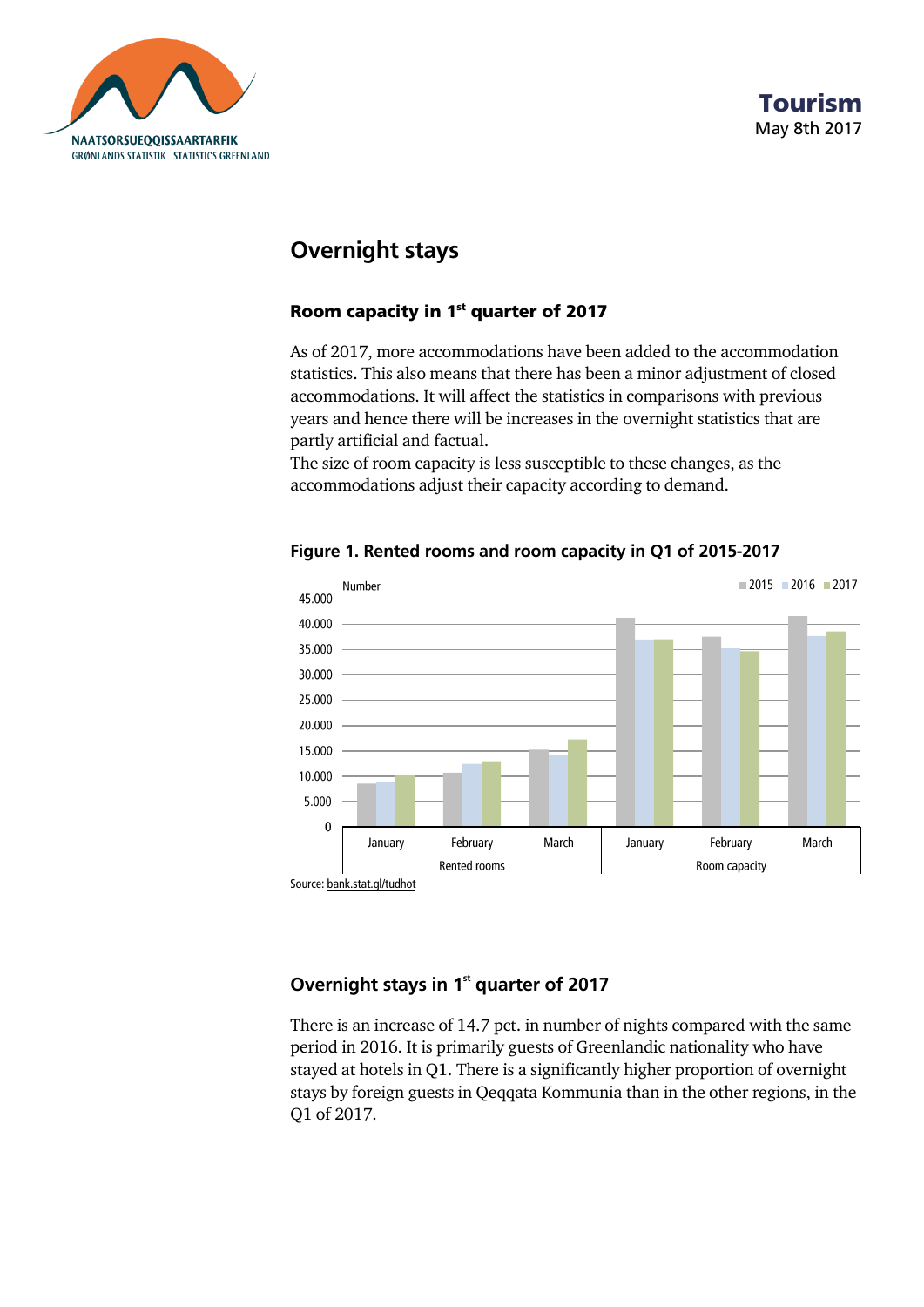



# **Overnight stays**

### **Room capacity in 1 st quarter of 2017**

As of 2017, more accommodations have been added to the accommodation statistics. This also means that there has been a minor adjustment of closed accommodations. It will affect the statistics in comparisons with previous years and hence there will be increases in the overnight statistics that are partly artificial and factual.

The size of room capacity is less susceptible to these changes, as the accommodations adjust their capacity according to demand.



**Figure 1. Rented rooms and room capacity in Q1 of 2015-2017**

## **Overnight stays in 1 st quarter of 2017**

There is an increase of 14.7 pct. in number of nights compared with the same period in 2016. It is primarily guests of Greenlandic nationality who have stayed at hotels in Q1. There is a significantly higher proportion of overnight stays by foreign guests in Qeqqata Kommunia than in the other regions, in the Q1 of 2017.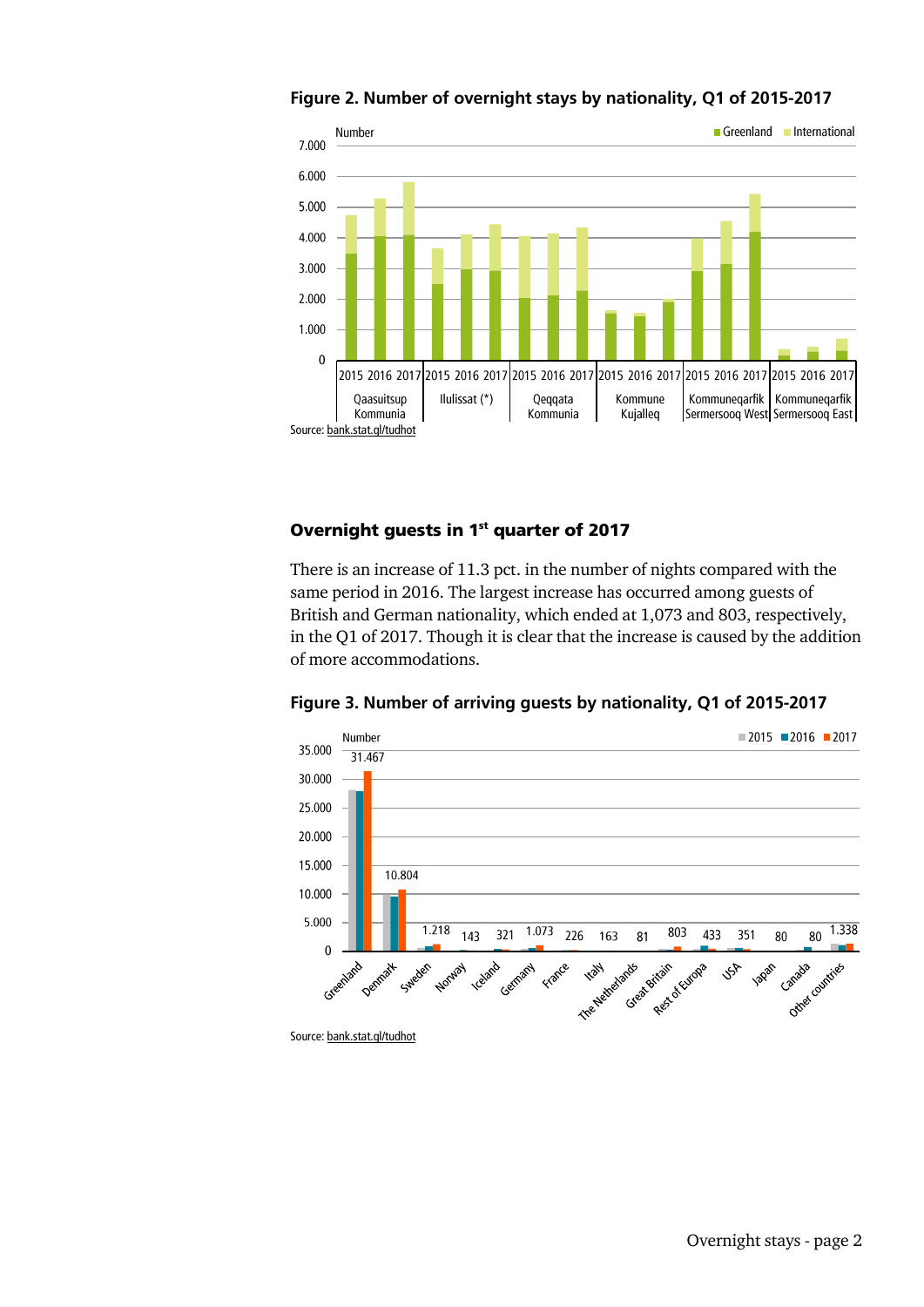

#### **Figure 2. Number of overnight stays by nationality, Q1 of 2015-2017**

### **Overnight guests in 1 st quarter of 2017**

There is an increase of 11.3 pct. in the number of nights compared with the same period in 2016. The largest increase has occurred among guests of British and German nationality, which ended at 1,073 and 803, respectively, in the Q1 of 2017. Though it is clear that the increase is caused by the addition of more accommodations.



**Figure 3. Number of arriving guests by nationality, Q1 of 2015-2017**